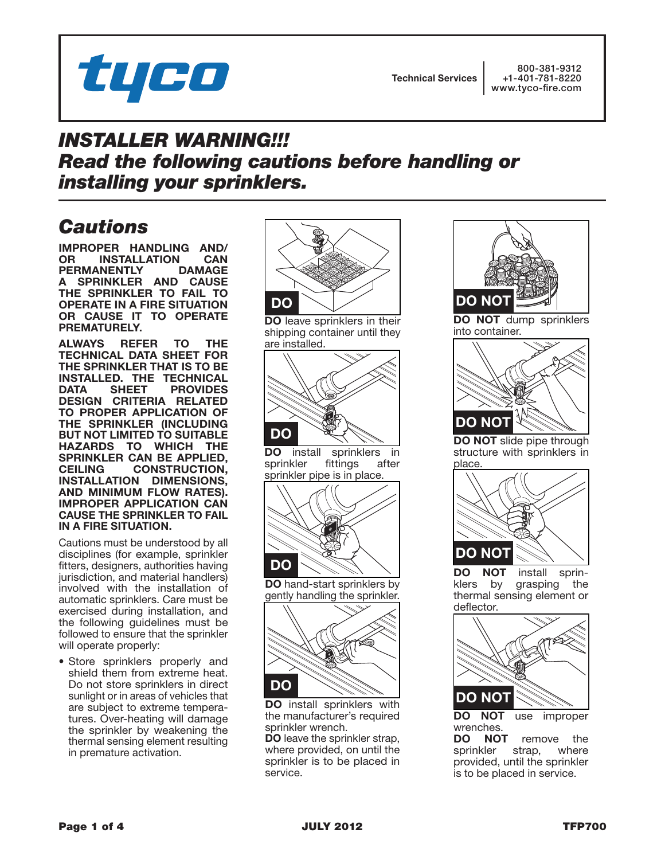

Technical Services

800-381-9312 +1-401-781-8220 www.tyco-fire.com

## *INSTALLER WARNING!!! Read the following cautions before handling or installing your sprinklers.*

## *Cautions*

IMPROPER HANDLING AND/ **INSTALLATION CAN<br>
NENTLY DAMAGE** PERMANENTLY A SPRINKLER AND CAUSE THE SPRINKLER TO FAIL TO OPERATE IN A FIRE SITUATION OR CAUSE IT TO OPERATE PREMATURELY.

ALWAYS REFER TO THE TECHNICAL DATA SHEET FOR THE SPRINKLER THAT IS TO BE INSTALLED. THE TECHNICAL DATA SHEET PROVIDES DESIGN CRITERIA RELATED TO PROPER APPLICATION OF THE SPRINKLER (INCLUDING BUT NOT LIMITED TO SUITABLE HAZARDS TO WHICH THE SPRINKLER CAN BE APPLIED, CEILING CONSTRUCTION, INSTALLATION DIMENSIONS, AND MINIMUM FLOW RATES). IMPROPER APPLICATION CAN CAUSE THE SPRINKLER TO FAIL IN A FIRE SITUATION.

Cautions must be understood by all disciplines (for example, sprinkler fitters, designers, authorities having jurisdiction, and material handlers) involved with the installation of automatic sprinklers. Care must be exercised during installation, and the following guidelines must be followed to ensure that the sprinkler will operate properly:

• Store sprinklers properly and shield them from extreme heat. Do not store sprinklers in direct sunlight or in areas of vehicles that are subject to extreme temperatures. Over-heating will damage the sprinkler by weakening the thermal sensing element resulting in premature activation.



DO leave sprinklers in their shipping container until they are installed.



**DO** install sprinklers in sprinkler fittings after sprinkler fittings after sprinkler pipe is in place.



DO hand-start sprinklers by gently handling the sprinkler.



DO install sprinklers with the manufacturer's required sprinkler wrench.

DO leave the sprinkler strap, where provided, on until the sprinkler is to be placed in service.



DO NOT dump sprinklers into container.



DO NOT slide pipe through structure with sprinklers in place.



DO NOT install sprinklers by grasping the thermal sensing element or deflector.



DO NOT use improper wrenches.

DO NOT remove the sprinkler strap, where provided, until the sprinkler is to be placed in service.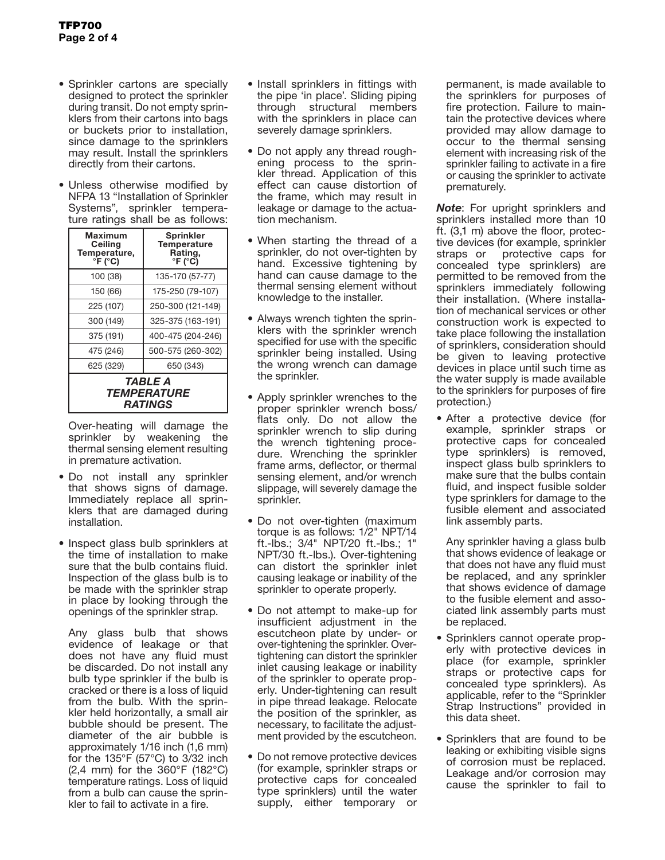- Sprinkler cartons are specially designed to protect the sprinkler during transit. Do not empty sprinklers from their cartons into bags or buckets prior to installation, since damage to the sprinklers may result. Install the sprinklers directly from their cartons.
- • Unless otherwise modified by NFPA 13 "Installation of Sprinkler Systems", sprinkler temperature ratings shall be as follows:

| Maximum<br>Ceiling<br>Temperature,<br>°F (°C) | <b>Sprinkler</b><br><b>Temperature</b><br>Rating,<br>°F (°C) |
|-----------------------------------------------|--------------------------------------------------------------|
| 100 (38)                                      | 135-170 (57-77)                                              |
| 150 (66)                                      | 175-250 (79-107)                                             |
| 225 (107)                                     | 250-300 (121-149)                                            |
| 300 (149)                                     | 325-375 (163-191)                                            |
| 375 (191)                                     | 400-475 (204-246)                                            |
| 475 (246)                                     | 500-575 (260-302)                                            |
| 625 (329)                                     | 650 (343)                                                    |
| TABLE A                                       |                                                              |

*temperature ratings*

Over-heating will damage the sprinkler by weakening the thermal sensing element resulting in premature activation.

- • Do not install any sprinkler that shows signs of damage. Immediately replace all sprinklers that are damaged during installation.
- Inspect glass bulb sprinklers at the time of installation to make sure that the bulb contains fluid. Inspection of the glass bulb is to be made with the sprinkler strap in place by looking through the openings of the sprinkler strap.

Any glass bulb that shows evidence of leakage or that does not have any fluid must be discarded. Do not install any bulb type sprinkler if the bulb is cracked or there is a loss of liquid from the bulb. With the sprinkler held horizontally, a small air bubble should be present. The diameter of the air bubble is approximately 1/16 inch (1,6 mm) for the 135 $\degree$ F (57 $\degree$ C) to 3/32 inch (2,4 mm) for the 360°F (182°C) temperature ratings. Loss of liquid from a bulb can cause the sprinkler to fail to activate in a fire.

- Install sprinklers in fittings with the pipe 'in place'. Sliding piping through structural members with the sprinklers in place can severely damage sprinklers.
- Do not apply any thread roughening process to the sprinkler thread. Application of this effect can cause distortion of the frame, which may result in leakage or damage to the actuation mechanism.
- When starting the thread of a sprinkler, do not over-tighten by hand. Excessive tightening by hand can cause damage to the thermal sensing element without knowledge to the installer.
- Always wrench tighten the sprinklers with the sprinkler wrench specified for use with the specific sprinkler being installed. Using the wrong wrench can damage the sprinkler.
- Apply sprinkler wrenches to the proper sprinkler wrench boss/ flats only. Do not allow the sprinkler wrench to slip during the wrench tightening procedure. Wrenching the sprinkler frame arms, deflector, or thermal sensing element, and/or wrench slippage, will severely damage the sprinkler.
- Do not over-tighten (maximum torque is as follows: 1/2" NPT/14 ft.-lbs.; 3/4" NPT/20 ft.-lbs.; 1" NPT/30 ft.-lbs.). Over-tightening can distort the sprinkler inlet causing leakage or inability of the sprinkler to operate properly.
- Do not attempt to make-up for insufficient adjustment in the escutcheon plate by under- or over-tightening the sprinkler. Overtightening can distort the sprinkler inlet causing leakage or inability of the sprinkler to operate properly. Under-tightening can result in pipe thread leakage. Relocate the position of the sprinkler, as necessary, to facilitate the adjustment provided by the escutcheon.
- Do not remove protective devices (for example, sprinkler straps or protective caps for concealed type sprinklers) until the water supply, either temporary or

permanent, is made available to the sprinklers for purposes of fire protection. Failure to maintain the protective devices where provided may allow damage to occur to the thermal sensing element with increasing risk of the sprinkler failing to activate in a fire or causing the sprinkler to activate prematurely.

*Note*: For upright sprinklers and sprinklers installed more than 10 ft. (3,1 m) above the floor, protective devices (for example, sprinkler straps or protective caps for concealed type sprinklers) are permitted to be removed from the sprinklers immediately following their installation. (Where installation of mechanical services or other construction work is expected to take place following the installation of sprinklers, consideration should be given to leaving protective devices in place until such time as the water supply is made available to the sprinklers for purposes of fire protection.)

• After a protective device (for example, sprinkler straps or protective caps for concealed type sprinklers) is removed, inspect glass bulb sprinklers to make sure that the bulbs contain fluid, and inspect fusible solder type sprinklers for damage to the fusible element and associated link assembly parts.

Any sprinkler having a glass bulb that shows evidence of leakage or that does not have any fluid must be replaced, and any sprinkler that shows evidence of damage to the fusible element and associated link assembly parts must be replaced.

- • Sprinklers cannot operate properly with protective devices in place (for example, sprinkler straps or protective caps for concealed type sprinklers). As applicable, refer to the "Sprinkler Strap Instructions" provided in this data sheet.
- • Sprinklers that are found to be leaking or exhibiting visible signs of corrosion must be replaced. Leakage and/or corrosion may cause the sprinkler to fail to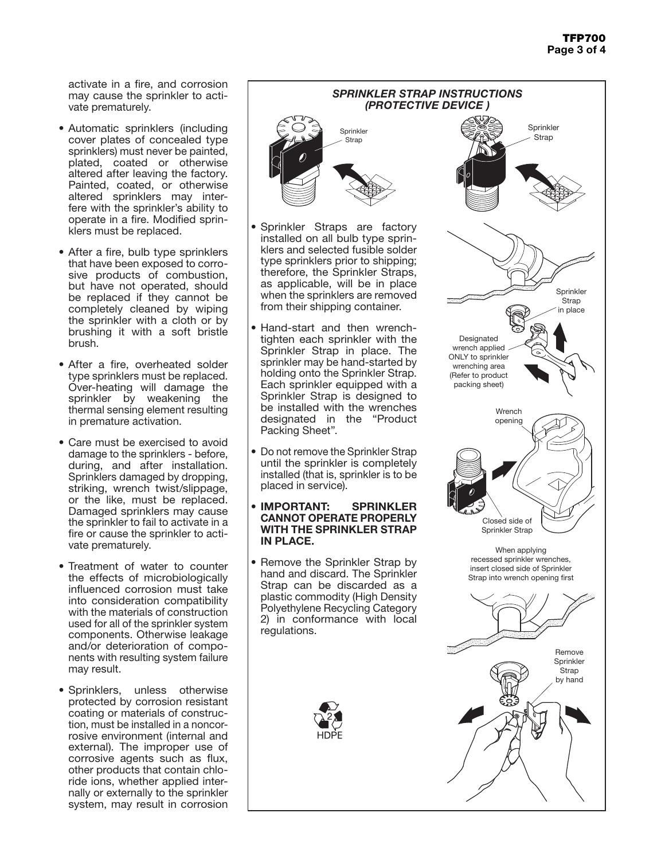activate in a fire, and corrosion may cause the sprinkler to activate prematurely.

- Automatic sprinklers (including cover plates of concealed type sprinklers) must never be painted, plated, coated or otherwise altered after leaving the factory. Painted, coated, or otherwise altered sprinklers may interfere with the sprinkler's ability to operate in a fire. Modified sprinklers must be replaced.
- After a fire, bulb type sprinklers that have been exposed to corrosive products of combustion, but have not operated, should be replaced if they cannot be completely cleaned by wiping the sprinkler with a cloth or by brushing it with a soft bristle brush.
- After a fire, overheated solder type sprinklers must be replaced. Over-heating will damage the sprinkler by weakening the thermal sensing element resulting in premature activation.
- Care must be exercised to avoid damage to the sprinklers - before, during, and after installation. Sprinklers damaged by dropping, striking, wrench twist/slippage, or the like, must be replaced. Damaged sprinklers may cause the sprinkler to fail to activate in a fire or cause the sprinkler to activate prematurely.
- Treatment of water to counter the effects of microbiologically influenced corrosion must take into consideration compatibility with the materials of construction used for all of the sprinkler system components. Otherwise leakage and/or deterioration of components with resulting system failure may result.
- Sprinklers, unless otherwise protected by corrosion resistant coating or materials of construction, must be installed in a noncorrosive environment (internal and external). The improper use of corrosive agents such as flux, other products that contain chloride ions, whether applied internally or externally to the sprinkler system, may result in corrosion